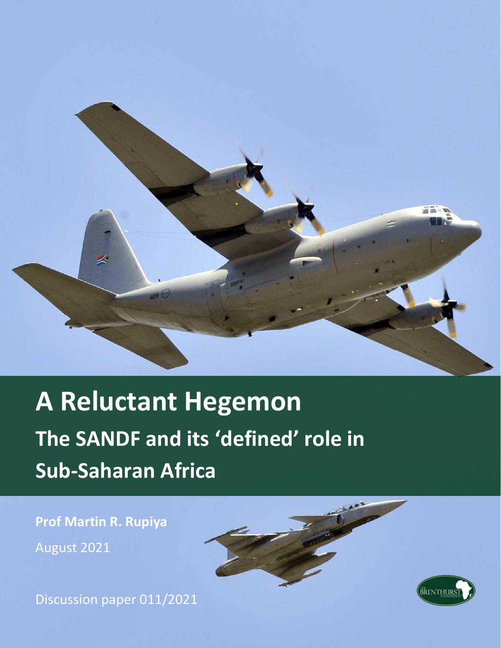

# **A Reluctant Hegemon The SANDF and its 'defined' role in Sub-Saharan Africa**

**Prof Martin R. Rupiya** August 2021

Discussion paper 011/2021

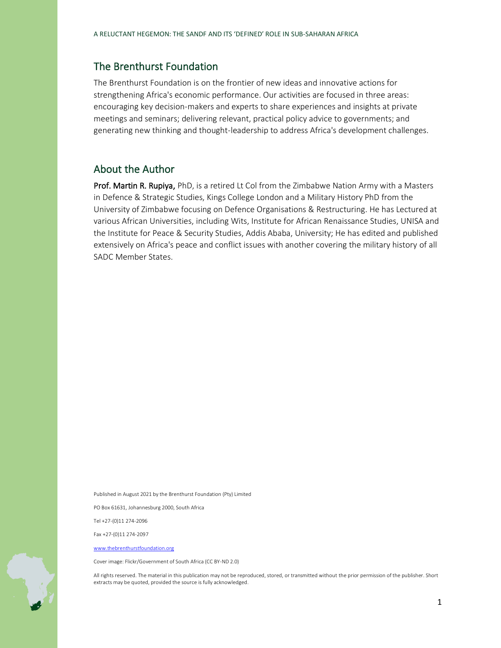#### The Brenthurst Foundation

The Brenthurst Foundation is on the frontier of new ideas and innovative actions for strengthening Africa's economic performance. Our activities are focused in three areas: encouraging key decision-makers and experts to share experiences and insights at private meetings and seminars; delivering relevant, practical policy advice to governments; and generating new thinking and thought-leadership to address Africa's development challenges.

#### About the Author

Prof. Martin R. Rupiya, PhD, is a retired Lt Col from the Zimbabwe Nation Army with a Masters in Defence & Strategic Studies, Kings College London and a Military History PhD from the University of Zimbabwe focusing on Defence Organisations & Restructuring. He has Lectured at various African Universities, including Wits, Institute for African Renaissance Studies, UNISA and the Institute for Peace & Security Studies, Addis Ababa, University; He has edited and published extensively on Africa's peace and conflict issues with another covering the military history of all SADC Member States.

Published in August 2021 by the Brenthurst Foundation (Pty) Limited

PO Box 61631, Johannesburg 2000, South Africa

Tel +27-(0)11 274-2096

Fax +27-(0)11 274-2097

[www.thebrenthurstfoundation.org](http://www.thebrenthurstfoundation.org/)

Cover image: Flickr/Government of South Africa (CC BY-ND 2.0)

All rights reserved. The material in this publication may not be reproduced, stored, or transmitted without the prior permission of the publisher. Short extracts may be quoted, provided the source is fully acknowledged.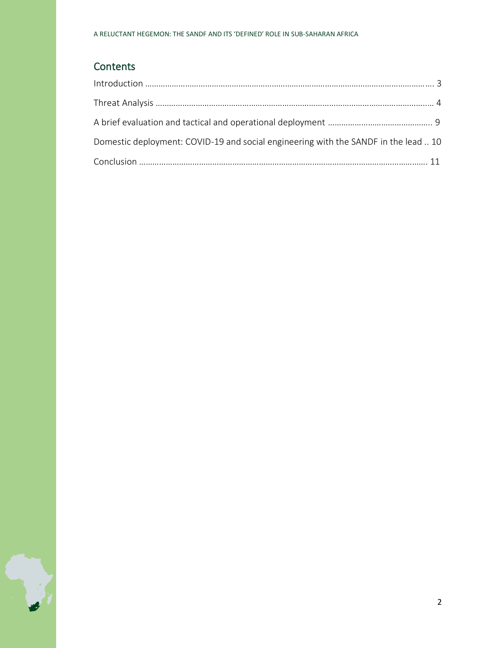# **Contents**

| Domestic deployment: COVID-19 and social engineering with the SANDF in the lead  10 |  |
|-------------------------------------------------------------------------------------|--|
|                                                                                     |  |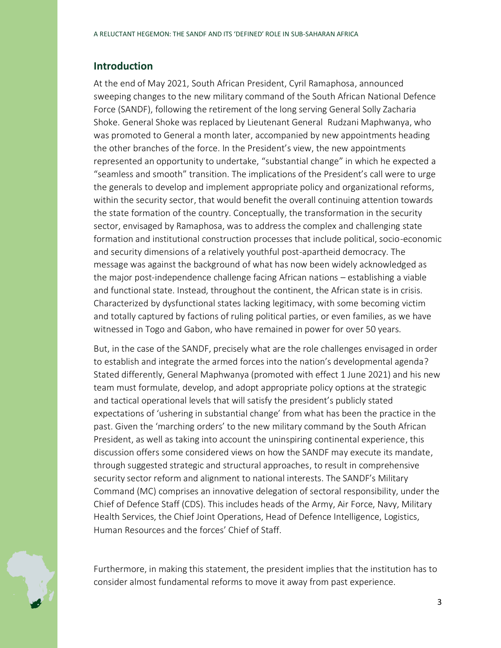#### **Introduction**

At the end of May 2021, South African President, Cyril Ramaphosa, announced sweeping changes to the new military command of the South African National Defence Force (SANDF), following the retirement of the long serving General Solly Zacharia Shoke. General Shoke was replaced by Lieutenant General Rudzani Maphwanya, who was promoted to General a month later, accompanied by new appointments heading the other branches of the force. In the President's view, the new appointments represented an opportunity to undertake, "substantial change" in which he expected a "seamless and smooth" transition. The implications of the President's call were to urge the generals to develop and implement appropriate policy and organizational reforms, within the security sector, that would benefit the overall continuing attention towards the state formation of the country. Conceptually, the transformation in the security sector, envisaged by Ramaphosa, was to address the complex and challenging state formation and institutional construction processes that include political, socio-economic and security dimensions of a relatively youthful post-apartheid democracy. The message was against the background of what has now been widely acknowledged as the major post-independence challenge facing African nations – establishing a viable and functional state. Instead, throughout the continent, the African state is in crisis. Characterized by dysfunctional states lacking legitimacy, with some becoming victim and totally captured by factions of ruling political parties, or even families, as we have witnessed in Togo and Gabon, who have remained in power for over 50 years.

But, in the case of the SANDF, precisely what are the role challenges envisaged in order to establish and integrate the armed forces into the nation's developmental agenda? Stated differently, General Maphwanya (promoted with effect 1 June 2021) and his new team must formulate, develop, and adopt appropriate policy options at the strategic and tactical operational levels that will satisfy the president's publicly stated expectations of 'ushering in substantial change' from what has been the practice in the past. Given the 'marching orders' to the new military command by the South African President, as well as taking into account the uninspiring continental experience, this discussion offers some considered views on how the SANDF may execute its mandate, through suggested strategic and structural approaches, to result in comprehensive security sector reform and alignment to national interests. The SANDF's Military Command (MC) comprises an innovative delegation of sectoral responsibility, under the Chief of Defence Staff (CDS). This includes heads of the Army, Air Force, Navy, Military Health Services, the Chief Joint Operations, Head of Defence Intelligence, Logistics, Human Resources and the forces' Chief of Staff.

Furthermore, in making this statement, the president implies that the institution has to consider almost fundamental reforms to move it away from past experience.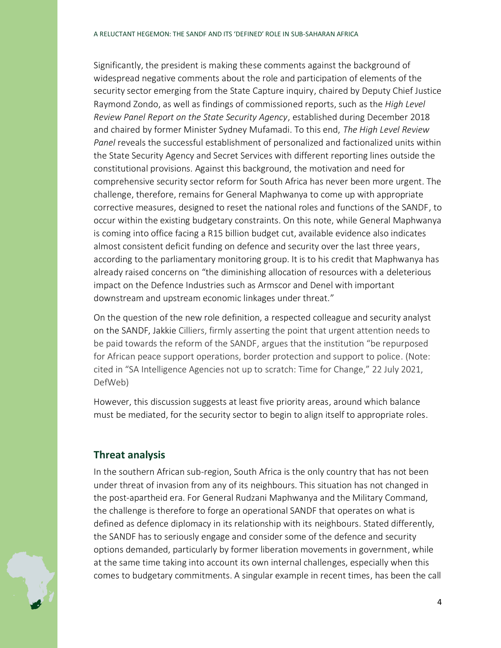Significantly, the president is making these comments against the background of widespread negative comments about the role and participation of elements of the security sector emerging from the State Capture inquiry, chaired by Deputy Chief Justice Raymond Zondo, as well as findings of commissioned reports, such as the *High Level Review Panel Report on the State Security Agency*, established during December 2018 and chaired by former Minister Sydney Mufamadi. To this end, *The High Level Review Panel* reveals the successful establishment of personalized and factionalized units within the State Security Agency and Secret Services with different reporting lines outside the constitutional provisions. Against this background, the motivation and need for comprehensive security sector reform for South Africa has never been more urgent. The challenge, therefore, remains for General Maphwanya to come up with appropriate corrective measures, designed to reset the national roles and functions of the SANDF, to occur within the existing budgetary constraints. On this note, while General Maphwanya is coming into office facing a R15 billion budget cut, available evidence also indicates almost consistent deficit funding on defence and security over the last three years, according to the parliamentary monitoring group. It is to his credit that Maphwanya has already raised concerns on "the diminishing allocation of resources with a deleterious impact on the Defence Industries such as Armscor and Denel with important downstream and upstream economic linkages under threat."

On the question of the new role definition, a respected colleague and security analyst on the SANDF, Jakkie Cilliers, firmly asserting the point that urgent attention needs to be paid towards the reform of the SANDF, argues that the institution "be repurposed for African peace support operations, border protection and support to police. (Note: cited in "SA Intelligence Agencies not up to scratch: Time for Change," 22 July 2021, DefWeb)

However, this discussion suggests at least five priority areas, around which balance must be mediated, for the security sector to begin to align itself to appropriate roles.

## **Threat analysis**

In the southern African sub-region, South Africa is the only country that has not been under threat of invasion from any of its neighbours. This situation has not changed in the post-apartheid era. For General Rudzani Maphwanya and the Military Command, the challenge is therefore to forge an operational SANDF that operates on what is defined as defence diplomacy in its relationship with its neighbours. Stated differently, the SANDF has to seriously engage and consider some of the defence and security options demanded, particularly by former liberation movements in government, while at the same time taking into account its own internal challenges, especially when this comes to budgetary commitments. A singular example in recent times, has been the call

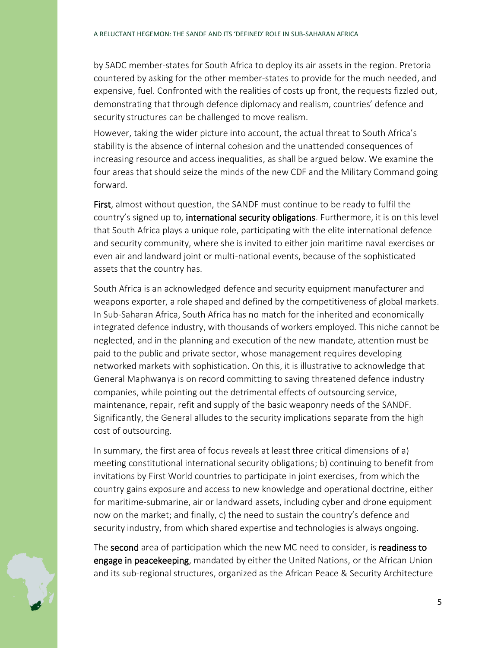by SADC member-states for South Africa to deploy its air assets in the region. Pretoria countered by asking for the other member-states to provide for the much needed, and expensive, fuel. Confronted with the realities of costs up front, the requests fizzled out, demonstrating that through defence diplomacy and realism, countries' defence and security structures can be challenged to move realism.

However, taking the wider picture into account, the actual threat to South Africa's stability is the absence of internal cohesion and the unattended consequences of increasing resource and access inequalities, as shall be argued below. We examine the four areas that should seize the minds of the new CDF and the Military Command going forward.

First, almost without question, the SANDF must continue to be ready to fulfil the country's signed up to, **international security obligations**. Furthermore, it is on this level that South Africa plays a unique role, participating with the elite international defence and security community, where she is invited to either join maritime naval exercises or even air and landward joint or multi-national events, because of the sophisticated assets that the country has.

South Africa is an acknowledged defence and security equipment manufacturer and weapons exporter, a role shaped and defined by the competitiveness of global markets. In Sub-Saharan Africa, South Africa has no match for the inherited and economically integrated defence industry, with thousands of workers employed. This niche cannot be neglected, and in the planning and execution of the new mandate, attention must be paid to the public and private sector, whose management requires developing networked markets with sophistication. On this, it is illustrative to acknowledge that General Maphwanya is on record committing to saving threatened defence industry companies, while pointing out the detrimental effects of outsourcing service, maintenance, repair, refit and supply of the basic weaponry needs of the SANDF. Significantly, the General alludes to the security implications separate from the high cost of outsourcing.

In summary, the first area of focus reveals at least three critical dimensions of a) meeting constitutional international security obligations; b) continuing to benefit from invitations by First World countries to participate in joint exercises, from which the country gains exposure and access to new knowledge and operational doctrine, either for maritime-submarine, air or landward assets, including cyber and drone equipment now on the market; and finally, c) the need to sustain the country's defence and security industry, from which shared expertise and technologies is always ongoing.

The second area of participation which the new MC need to consider, is readiness to engage in peacekeeping, mandated by either the United Nations, or the African Union and its sub-regional structures, organized as the African Peace & Security Architecture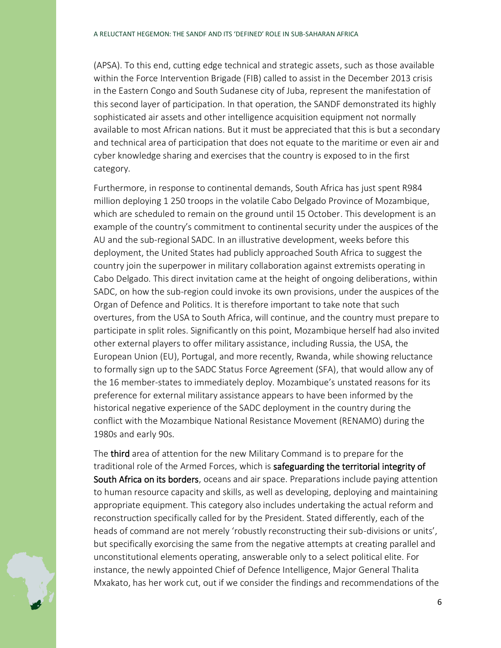(APSA). To this end, cutting edge technical and strategic assets, such as those available within the Force Intervention Brigade (FIB) called to assist in the December 2013 crisis in the Eastern Congo and South Sudanese city of Juba, represent the manifestation of this second layer of participation. In that operation, the SANDF demonstrated its highly sophisticated air assets and other intelligence acquisition equipment not normally available to most African nations. But it must be appreciated that this is but a secondary and technical area of participation that does not equate to the maritime or even air and cyber knowledge sharing and exercises that the country is exposed to in the first category.

Furthermore, in response to continental demands, South Africa has just spent R984 million deploying 1 250 troops in the volatile Cabo Delgado Province of Mozambique, which are scheduled to remain on the ground until 15 October. This development is an example of the country's commitment to continental security under the auspices of the AU and the sub-regional SADC. In an illustrative development, weeks before this deployment, the United States had publicly approached South Africa to suggest the country join the superpower in military collaboration against extremists operating in Cabo Delgado. This direct invitation came at the height of ongoing deliberations, within SADC, on how the sub-region could invoke its own provisions, under the auspices of the Organ of Defence and Politics. It is therefore important to take note that such overtures, from the USA to South Africa, will continue, and the country must prepare to participate in split roles. Significantly on this point, Mozambique herself had also invited other external players to offer military assistance, including Russia, the USA, the European Union (EU), Portugal, and more recently, Rwanda, while showing reluctance to formally sign up to the SADC Status Force Agreement (SFA), that would allow any of the 16 member-states to immediately deploy. Mozambique's unstated reasons for its preference for external military assistance appears to have been informed by the historical negative experience of the SADC deployment in the country during the conflict with the Mozambique National Resistance Movement (RENAMO) during the 1980s and early 90s.

The third area of attention for the new Military Command is to prepare for the traditional role of the Armed Forces, which is safeguarding the territorial integrity of South Africa on its borders, oceans and air space. Preparations include paying attention to human resource capacity and skills, as well as developing, deploying and maintaining appropriate equipment. This category also includes undertaking the actual reform and reconstruction specifically called for by the President. Stated differently, each of the heads of command are not merely 'robustly reconstructing their sub-divisions or units', but specifically exorcising the same from the negative attempts at creating parallel and unconstitutional elements operating, answerable only to a select political elite. For instance, the newly appointed Chief of Defence Intelligence, Major General Thalita Mxakato, has her work cut, out if we consider the findings and recommendations of the

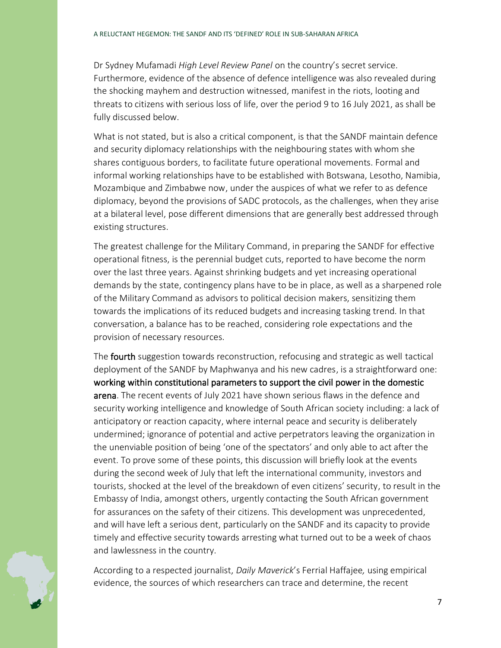Dr Sydney Mufamadi *High Level Review Panel* on the country's secret service. Furthermore, evidence of the absence of defence intelligence was also revealed during the shocking mayhem and destruction witnessed, manifest in the riots, looting and threats to citizens with serious loss of life, over the period 9 to 16 July 2021, as shall be fully discussed below.

What is not stated, but is also a critical component, is that the SANDF maintain defence and security diplomacy relationships with the neighbouring states with whom she shares contiguous borders, to facilitate future operational movements. Formal and informal working relationships have to be established with Botswana, Lesotho, Namibia, Mozambique and Zimbabwe now, under the auspices of what we refer to as defence diplomacy, beyond the provisions of SADC protocols, as the challenges, when they arise at a bilateral level, pose different dimensions that are generally best addressed through existing structures.

The greatest challenge for the Military Command, in preparing the SANDF for effective operational fitness, is the perennial budget cuts, reported to have become the norm over the last three years. Against shrinking budgets and yet increasing operational demands by the state, contingency plans have to be in place, as well as a sharpened role of the Military Command as advisors to political decision makers, sensitizing them towards the implications of its reduced budgets and increasing tasking trend. In that conversation, a balance has to be reached, considering role expectations and the provision of necessary resources.

The **fourth** suggestion towards reconstruction, refocusing and strategic as well tactical deployment of the SANDF by Maphwanya and his new cadres, is a straightforward one: working within constitutional parameters to support the civil power in the domestic arena. The recent events of July 2021 have shown serious flaws in the defence and security working intelligence and knowledge of South African society including: a lack of anticipatory or reaction capacity, where internal peace and security is deliberately undermined; ignorance of potential and active perpetrators leaving the organization in the unenviable position of being 'one of the spectators' and only able to act after the event. To prove some of these points, this discussion will briefly look at the events during the second week of July that left the international community, investors and tourists, shocked at the level of the breakdown of even citizens' security, to result in the Embassy of India, amongst others, urgently contacting the South African government for assurances on the safety of their citizens. This development was unprecedented, and will have left a serious dent, particularly on the SANDF and its capacity to provide timely and effective security towards arresting what turned out to be a week of chaos and lawlessness in the country.

According to a respected journalist, *Daily Maverick*'s Ferrial Haffajee*,* using empirical evidence, the sources of which researchers can trace and determine, the recent

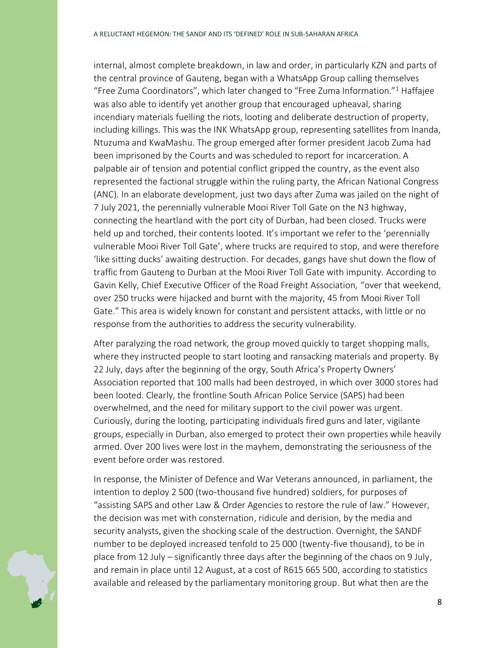internal, almost complete breakdown, in law and order, in particularly KZN and parts of the central province of Gauteng, began with a WhatsApp Group calling themselves "Free Zuma Coordinators", which later changed to "Free Zuma Information."<sup>1</sup> Haffajee was also able to identify yet another group that encouraged upheaval, sharing incendiary materials fuelling the riots, looting and deliberate destruction of property, including killings. This was the INK WhatsApp group, representing satellites from Inanda, Ntuzuma and KwaMashu. The group emerged after former president Jacob Zuma had been imprisoned by the Courts and was scheduled to report for incarceration. A palpable air of tension and potential conflict gripped the country, as the event also represented the factional struggle within the ruling party, the African National Congress (ANC). In an elaborate development, just two days after Zuma was jailed on the night of 7 July 2021, the perennially vulnerable Mooi River Toll Gate on the N3 highway, connecting the heartland with the port city of Durban, had been closed. Trucks were held up and torched, their contents looted. It's important we refer to the 'perennially vulnerable Mooi River Toll Gate', where trucks are required to stop, and were therefore 'like sitting ducks' awaiting destruction. For decades, gangs have shut down the flow of traffic from Gauteng to Durban at the Mooi River Toll Gate with impunity. According to Gavin Kelly, Chief Executive Officer of the Road Freight Association, "over that weekend, over 250 trucks were hijacked and burnt with the majority, 45 from Mooi River Toll Gate." This area is widely known for constant and persistent attacks, with little or no response from the authorities to address the security vulnerability.

After paralyzing the road network, the group moved quickly to target shopping malls, where they instructed people to start looting and ransacking materials and property. By 22 July, days after the beginning of the orgy, South Africa's Property Owners' Association reported that 100 malls had been destroyed, in which over 3000 stores had been looted. Clearly, the frontline South African Police Service (SAPS) had been overwhelmed, and the need for military support to the civil power was urgent. Curiously, during the looting, participating individuals fired guns and later, vigilante groups, especially in Durban, also emerged to protect their own properties while heavily armed. Over 200 lives were lost in the mayhem, demonstrating the seriousness of the event before order was restored.

In response, the Minister of Defence and War Veterans announced, in parliament, the intention to deploy 2 500 (two-thousand five hundred) soldiers, for purposes of "assisting SAPS and other Law & Order Agencies to restore the rule of law." However, the decision was met with consternation, ridicule and derision, by the media and security analysts, given the shocking scale of the destruction. Overnight, the SANDF number to be deployed increased tenfold to 25 000 (twenty-five thousand), to be in place from 12 July – significantly three days after the beginning of the chaos on 9 July, and remain in place until 12 August, at a cost of R615 665 500, according to statistics available and released by the parliamentary monitoring group. But what then are the

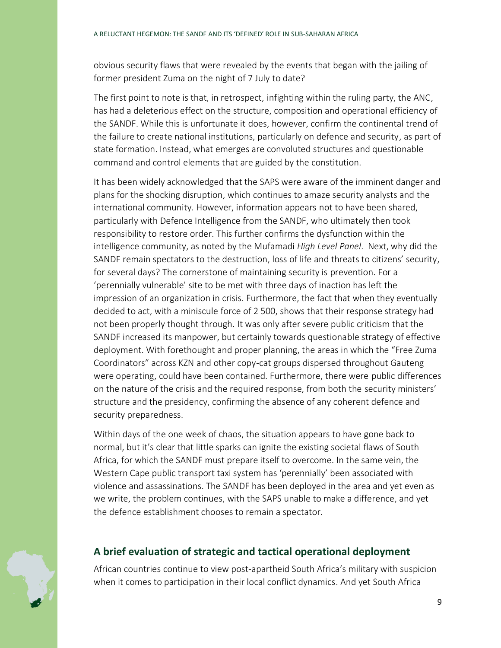obvious security flaws that were revealed by the events that began with the jailing of former president Zuma on the night of 7 July to date?

The first point to note is that, in retrospect, infighting within the ruling party, the ANC, has had a deleterious effect on the structure, composition and operational efficiency of the SANDF. While this is unfortunate it does, however, confirm the continental trend of the failure to create national institutions, particularly on defence and security, as part of state formation. Instead, what emerges are convoluted structures and questionable command and control elements that are guided by the constitution.

It has been widely acknowledged that the SAPS were aware of the imminent danger and plans for the shocking disruption, which continues to amaze security analysts and the international community. However, information appears not to have been shared, particularly with Defence Intelligence from the SANDF, who ultimately then took responsibility to restore order. This further confirms the dysfunction within the intelligence community, as noted by the Mufamadi *High Level Panel*. Next, why did the SANDF remain spectators to the destruction, loss of life and threats to citizens' security, for several days? The cornerstone of maintaining security is prevention. For a 'perennially vulnerable' site to be met with three days of inaction has left the impression of an organization in crisis. Furthermore, the fact that when they eventually decided to act, with a miniscule force of 2 500, shows that their response strategy had not been properly thought through. It was only after severe public criticism that the SANDF increased its manpower, but certainly towards questionable strategy of effective deployment. With forethought and proper planning, the areas in which the "Free Zuma Coordinators" across KZN and other copy-cat groups dispersed throughout Gauteng were operating, could have been contained. Furthermore, there were public differences on the nature of the crisis and the required response, from both the security ministers' structure and the presidency, confirming the absence of any coherent defence and security preparedness.

Within days of the one week of chaos, the situation appears to have gone back to normal, but it's clear that little sparks can ignite the existing societal flaws of South Africa, for which the SANDF must prepare itself to overcome. In the same vein, the Western Cape public transport taxi system has 'perennially' been associated with violence and assassinations. The SANDF has been deployed in the area and yet even as we write, the problem continues, with the SAPS unable to make a difference, and yet the defence establishment chooses to remain a spectator.

## **A brief evaluation of strategic and tactical operational deployment**

African countries continue to view post-apartheid South Africa's military with suspicion when it comes to participation in their local conflict dynamics. And yet South Africa

9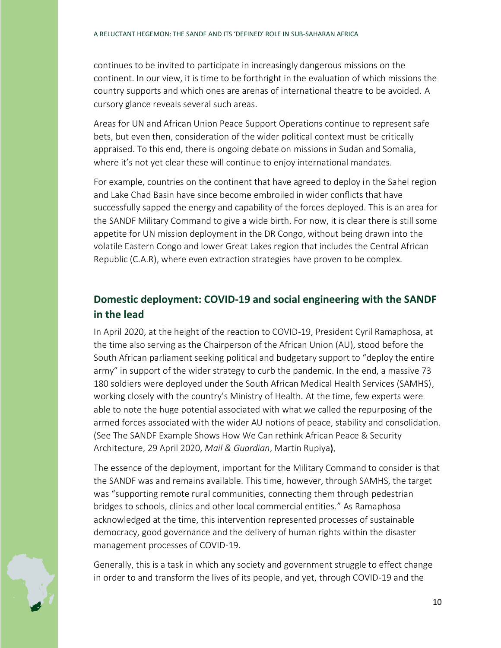continues to be invited to participate in increasingly dangerous missions on the continent. In our view, it is time to be forthright in the evaluation of which missions the country supports and which ones are arenas of international theatre to be avoided. A cursory glance reveals several such areas.

Areas for UN and African Union Peace Support Operations continue to represent safe bets, but even then, consideration of the wider political context must be critically appraised. To this end, there is ongoing debate on missions in Sudan and Somalia, where it's not yet clear these will continue to enjoy international mandates.

For example, countries on the continent that have agreed to deploy in the Sahel region and Lake Chad Basin have since become embroiled in wider conflicts that have successfully sapped the energy and capability of the forces deployed. This is an area for the SANDF Military Command to give a wide birth. For now, it is clear there is still some appetite for UN mission deployment in the DR Congo, without being drawn into the volatile Eastern Congo and lower Great Lakes region that includes the Central African Republic (C.A.R), where even extraction strategies have proven to be complex.

# **Domestic deployment: COVID-19 and social engineering with the SANDF in the lead**

In April 2020, at the height of the reaction to COVID-19, President Cyril Ramaphosa, at the time also serving as the Chairperson of the African Union (AU), stood before the South African parliament seeking political and budgetary support to "deploy the entire army" in support of the wider strategy to curb the pandemic. In the end, a massive 73 180 soldiers were deployed under the South African Medical Health Services (SAMHS), working closely with the country's Ministry of Health. At the time, few experts were able to note the huge potential associated with what we called the repurposing of the armed forces associated with the wider AU notions of peace, stability and consolidation. (See The SANDF Example Shows How We Can rethink African Peace & Security Architecture, 29 April 2020, *Mail & Guardian*, Martin Rupiya).

The essence of the deployment, important for the Military Command to consider is that the SANDF was and remains available. This time, however, through SAMHS, the target was "supporting remote rural communities, connecting them through pedestrian bridges to schools, clinics and other local commercial entities." As Ramaphosa acknowledged at the time, this intervention represented processes of sustainable democracy, good governance and the delivery of human rights within the disaster management processes of COVID-19.

Generally, this is a task in which any society and government struggle to effect change in order to and transform the lives of its people, and yet, through COVID-19 and the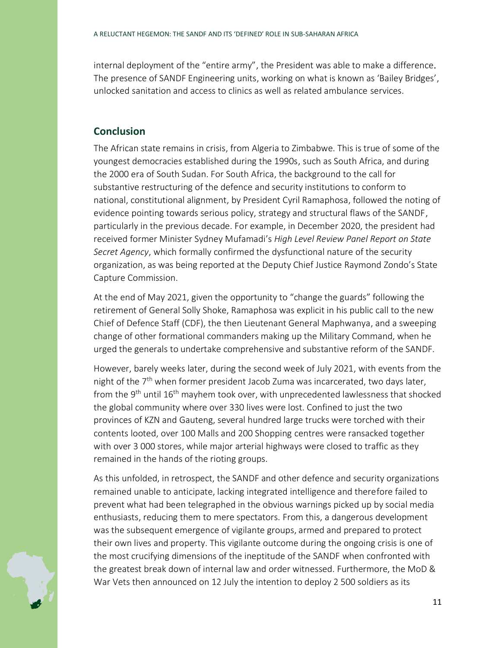internal deployment of the "entire army", the President was able to make a difference. The presence of SANDF Engineering units, working on what is known as 'Bailey Bridges', unlocked sanitation and access to clinics as well as related ambulance services.

#### **Conclusion**

The African state remains in crisis, from Algeria to Zimbabwe. This is true of some of the youngest democracies established during the 1990s, such as South Africa, and during the 2000 era of South Sudan. For South Africa, the background to the call for substantive restructuring of the defence and security institutions to conform to national, constitutional alignment, by President Cyril Ramaphosa, followed the noting of evidence pointing towards serious policy, strategy and structural flaws of the SANDF, particularly in the previous decade. For example, in December 2020, the president had received former Minister Sydney Mufamadi's *High Level Review Panel Report on State Secret Agency*, which formally confirmed the dysfunctional nature of the security organization, as was being reported at the Deputy Chief Justice Raymond Zondo's State Capture Commission.

At the end of May 2021, given the opportunity to "change the guards" following the retirement of General Solly Shoke, Ramaphosa was explicit in his public call to the new Chief of Defence Staff (CDF), the then Lieutenant General Maphwanya, and a sweeping change of other formational commanders making up the Military Command, when he urged the generals to undertake comprehensive and substantive reform of the SANDF.

However, barely weeks later, during the second week of July 2021, with events from the night of the 7<sup>th</sup> when former president Jacob Zuma was incarcerated, two days later, from the 9<sup>th</sup> until 16<sup>th</sup> mayhem took over, with unprecedented lawlessness that shocked the global community where over 330 lives were lost. Confined to just the two provinces of KZN and Gauteng, several hundred large trucks were torched with their contents looted, over 100 Malls and 200 Shopping centres were ransacked together with over 3 000 stores, while major arterial highways were closed to traffic as they remained in the hands of the rioting groups.

As this unfolded, in retrospect, the SANDF and other defence and security organizations remained unable to anticipate, lacking integrated intelligence and therefore failed to prevent what had been telegraphed in the obvious warnings picked up by social media enthusiasts, reducing them to mere spectators. From this, a dangerous development was the subsequent emergence of vigilante groups, armed and prepared to protect their own lives and property. This vigilante outcome during the ongoing crisis is one of the most crucifying dimensions of the ineptitude of the SANDF when confronted with the greatest break down of internal law and order witnessed. Furthermore, the MoD & War Vets then announced on 12 July the intention to deploy 2 500 soldiers as its

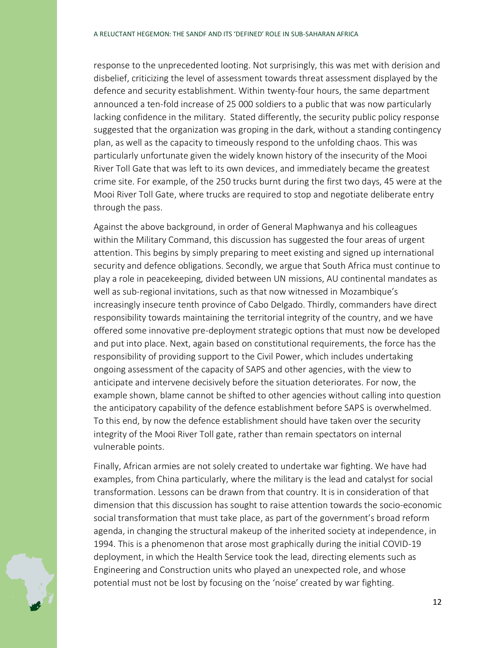response to the unprecedented looting. Not surprisingly, this was met with derision and disbelief, criticizing the level of assessment towards threat assessment displayed by the defence and security establishment. Within twenty-four hours, the same department announced a ten-fold increase of 25 000 soldiers to a public that was now particularly lacking confidence in the military. Stated differently, the security public policy response suggested that the organization was groping in the dark, without a standing contingency plan, as well as the capacity to timeously respond to the unfolding chaos. This was particularly unfortunate given the widely known history of the insecurity of the Mooi River Toll Gate that was left to its own devices, and immediately became the greatest crime site. For example, of the 250 trucks burnt during the first two days, 45 were at the Mooi River Toll Gate, where trucks are required to stop and negotiate deliberate entry through the pass.

Against the above background, in order of General Maphwanya and his colleagues within the Military Command, this discussion has suggested the four areas of urgent attention. This begins by simply preparing to meet existing and signed up international security and defence obligations. Secondly, we argue that South Africa must continue to play a role in peacekeeping, divided between UN missions, AU continental mandates as well as sub-regional invitations, such as that now witnessed in Mozambique's increasingly insecure tenth province of Cabo Delgado. Thirdly, commanders have direct responsibility towards maintaining the territorial integrity of the country, and we have offered some innovative pre-deployment strategic options that must now be developed and put into place. Next, again based on constitutional requirements, the force has the responsibility of providing support to the Civil Power, which includes undertaking ongoing assessment of the capacity of SAPS and other agencies, with the view to anticipate and intervene decisively before the situation deteriorates. For now, the example shown, blame cannot be shifted to other agencies without calling into question the anticipatory capability of the defence establishment before SAPS is overwhelmed. To this end, by now the defence establishment should have taken over the security integrity of the Mooi River Toll gate, rather than remain spectators on internal vulnerable points.

Finally, African armies are not solely created to undertake war fighting. We have had examples, from China particularly, where the military is the lead and catalyst for social transformation. Lessons can be drawn from that country. It is in consideration of that dimension that this discussion has sought to raise attention towards the socio-economic social transformation that must take place, as part of the government's broad reform agenda, in changing the structural makeup of the inherited society at independence, in 1994. This is a phenomenon that arose most graphically during the initial COVID-19 deployment, in which the Health Service took the lead, directing elements such as Engineering and Construction units who played an unexpected role, and whose potential must not be lost by focusing on the 'noise' created by war fighting.